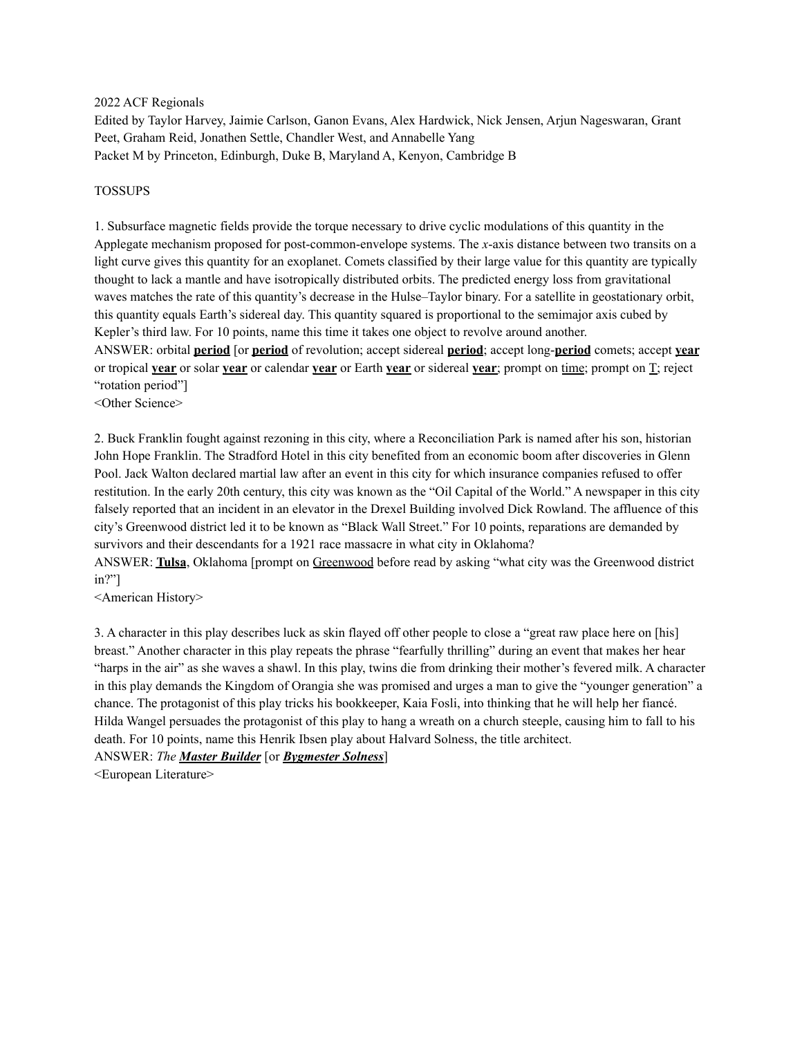2022 ACF Regionals

Edited by Taylor Harvey, Jaimie Carlson, Ganon Evans, Alex Hardwick, Nick Jensen, Arjun Nageswaran, Grant Peet, Graham Reid, Jonathen Settle, Chandler West, and Annabelle Yang Packet M by Princeton, Edinburgh, Duke B, Maryland A, Kenyon, Cambridge B

### TOSSUPS

1. Subsurface magnetic fields provide the torque necessary to drive cyclic modulations of this quantity in the Applegate mechanism proposed for post-common-envelope systems. The *x*-axis distance between two transits on a light curve gives this quantity for an exoplanet. Comets classified by their large value for this quantity are typically thought to lack a mantle and have isotropically distributed orbits. The predicted energy loss from gravitational waves matches the rate of this quantity's decrease in the Hulse–Taylor binary. For a satellite in geostationary orbit, this quantity equals Earth's sidereal day. This quantity squared is proportional to the semimajor axis cubed by Kepler's third law. For 10 points, name this time it takes one object to revolve around another.

ANSWER: orbital **period** [or **period** of revolution; accept sidereal **period**; accept long-**period** comets; accept **year** or tropical **year** or solar **year** or calendar **year** or Earth **year** or sidereal **year**; prompt on time; prompt on T; reject "rotation period"]

<Other Science>

2. Buck Franklin fought against rezoning in this city, where a Reconciliation Park is named after his son, historian John Hope Franklin. The Stradford Hotel in this city benefited from an economic boom after discoveries in Glenn Pool. Jack Walton declared martial law after an event in this city for which insurance companies refused to offer restitution. In the early 20th century, this city was known as the "Oil Capital of the World." A newspaper in this city falsely reported that an incident in an elevator in the Drexel Building involved Dick Rowland. The affluence of this city's Greenwood district led it to be known as "Black Wall Street." For 10 points, reparations are demanded by survivors and their descendants for a 1921 race massacre in what city in Oklahoma?

ANSWER: **Tulsa**, Oklahoma [prompt on Greenwood before read by asking "what city was the Greenwood district in?"]

<American History>

3. A character in this play describes luck as skin flayed off other people to close a "great raw place here on [his] breast." Another character in this play repeats the phrase "fearfully thrilling" during an event that makes her hear "harps in the air" as she waves a shawl. In this play, twins die from drinking their mother's fevered milk. A character in this play demands the Kingdom of Orangia she was promised and urges a man to give the "younger generation" a chance. The protagonist of this play tricks his bookkeeper, Kaia Fosli, into thinking that he will help her fiancé. Hilda Wangel persuades the protagonist of this play to hang a wreath on a church steeple, causing him to fall to his death. For 10 points, name this Henrik Ibsen play about Halvard Solness, the title architect.

ANSWER: *The Master Builder* [or *Bygmester Solness*]

<European Literature>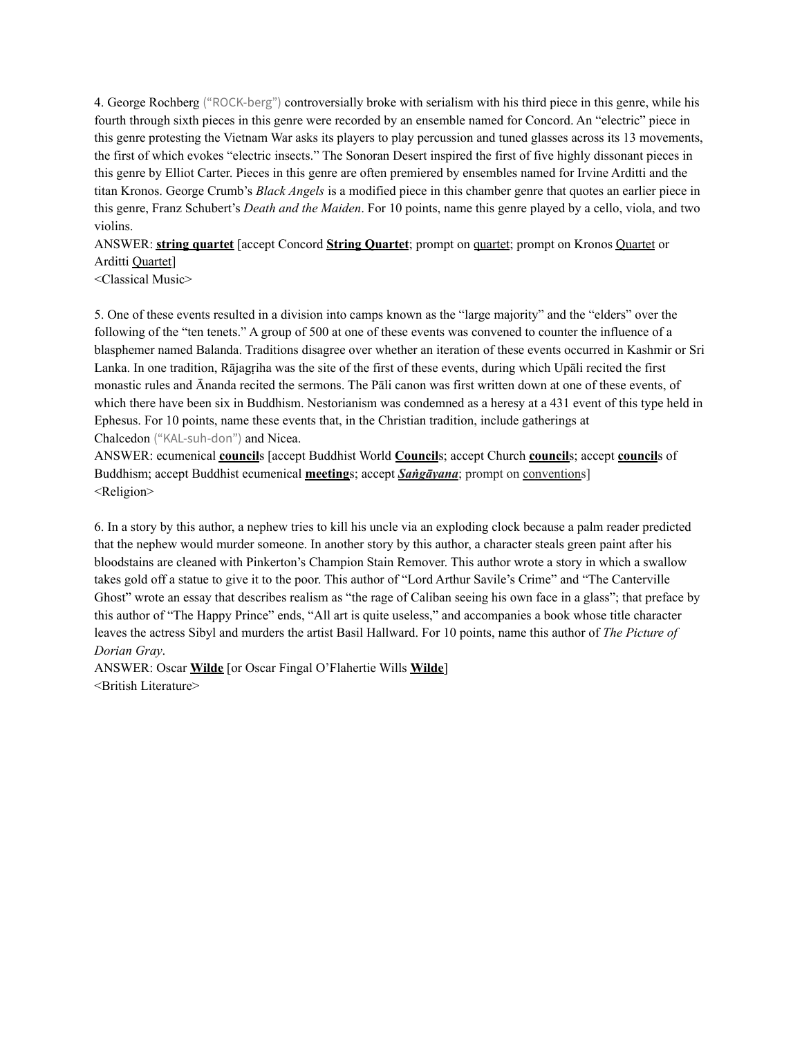4. George Rochberg ("ROCK-berg") controversially broke with serialism with his third piece in this genre, while his fourth through sixth pieces in this genre were recorded by an ensemble named for Concord. An "electric" piece in this genre protesting the Vietnam War asks its players to play percussion and tuned glasses across its 13 movements, the first of which evokes "electric insects." The Sonoran Desert inspired the first of five highly dissonant pieces in this genre by Elliot Carter. Pieces in this genre are often premiered by ensembles named for Irvine Arditti and the titan Kronos. George Crumb's *Black Angels* is a modified piece in this chamber genre that quotes an earlier piece in this genre, Franz Schubert's *Death and the Maiden*. For 10 points, name this genre played by a cello, viola, and two violins.

ANSWER: **string quartet** [accept Concord **String Quartet**; prompt on quartet; prompt on Kronos Quartet or Arditti Quartet]

<Classical Music>

5. One of these events resulted in a division into camps known as the "large majority" and the "elders" over the following of the "ten tenets." A group of 500 at one of these events was convened to counter the influence of a blasphemer named Balanda. Traditions disagree over whether an iteration of these events occurred in Kashmir or Sri Lanka. In one tradition, Rājagṛiha was the site of the first of these events, during which Upāli recited the first monastic rules and Ānanda recited the sermons. The Pāli canon was first written down at one of these events, of which there have been six in Buddhism. Nestorianism was condemned as a heresy at a 431 event of this type held in Ephesus. For 10 points, name these events that, in the Christian tradition, include gatherings at Chalcedon ("KAL-suh-don") and Nicea.

ANSWER: ecumenical **council**s [accept Buddhist World **Council**s; accept Church **council**s; accept **council**s of Buddhism; accept Buddhist ecumenical **meeting**s; accept *Saṅgāyana*; prompt on conventions] <Religion>

6. In a story by this author, a nephew tries to kill his uncle via an exploding clock because a palm reader predicted that the nephew would murder someone. In another story by this author, a character steals green paint after his bloodstains are cleaned with Pinkerton's Champion Stain Remover. This author wrote a story in which a swallow takes gold off a statue to give it to the poor. This author of "Lord Arthur Savile's Crime" and "The Canterville Ghost" wrote an essay that describes realism as "the rage of Caliban seeing his own face in a glass"; that preface by this author of "The Happy Prince" ends, "All art is quite useless," and accompanies a book whose title character leaves the actress Sibyl and murders the artist Basil Hallward. For 10 points, name this author of *The Picture of Dorian Gray*.

ANSWER: Oscar **Wilde** [or Oscar Fingal O'Flahertie Wills **Wilde**] <British Literature>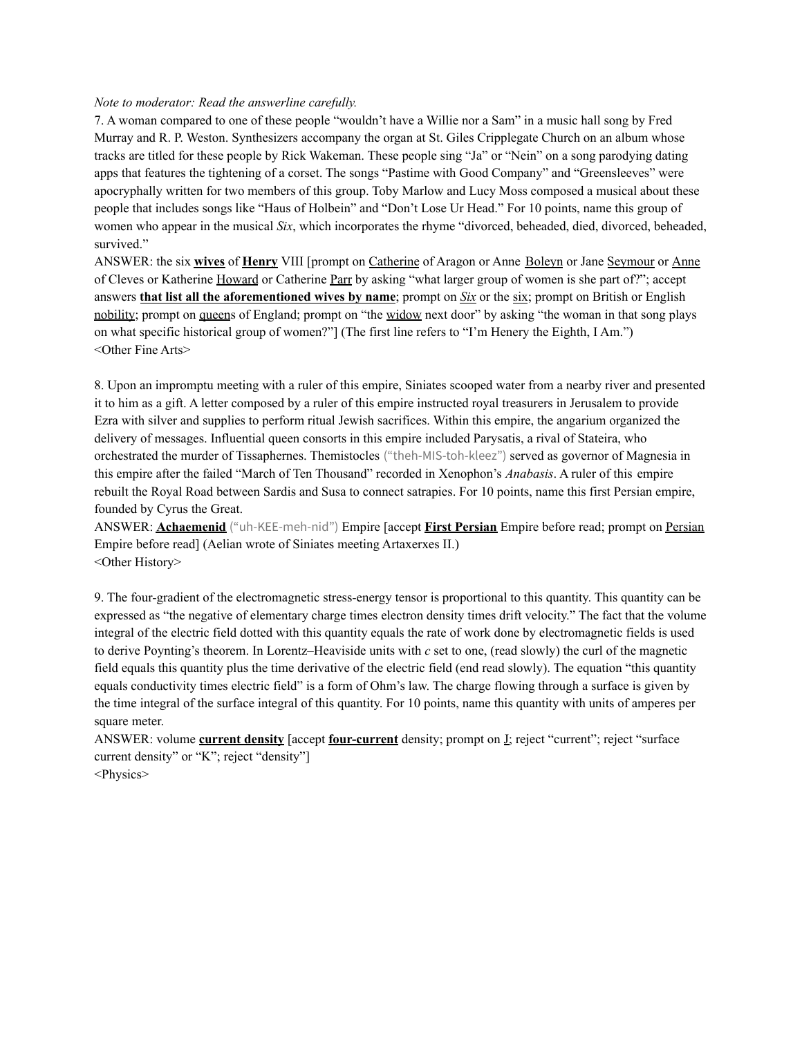#### *Note to moderator: Read the answerline carefully.*

7. A woman compared to one of these people "wouldn't have a Willie nor a Sam" in a music hall song by Fred Murray and R. P. Weston. Synthesizers accompany the organ at St. Giles Cripplegate Church on an album whose tracks are titled for these people by Rick Wakeman. These people sing "Ja" or "Nein" on a song parodying dating apps that features the tightening of a corset. The songs "Pastime with Good Company" and "Greensleeves" were apocryphally written for two members of this group. Toby Marlow and Lucy Moss composed a musical about these people that includes songs like "Haus of Holbein" and "Don't Lose Ur Head." For 10 points, name this group of women who appear in the musical *Six*, which incorporates the rhyme "divorced, beheaded, died, divorced, beheaded, survived."

ANSWER: the six **wives** of **Henry** VIII [prompt on Catherine of Aragon or Anne Boleyn or Jane Seymour or Anne of Cleves or Katherine Howard or Catherine Parr by asking "what larger group of women is she part of?"; accept answers **that list all the aforementioned wives by name**; prompt on *Six* or the six; prompt on British or English nobility; prompt on queens of England; prompt on "the widow next door" by asking "the woman in that song plays on what specific historical group of women?"] (The first line refers to "I'm Henery the Eighth, I Am.") <Other Fine Arts>

8. Upon an impromptu meeting with a ruler of this empire, Siniates scooped water from a nearby river and presented it to him as a gift. A letter composed by a ruler of this empire instructed royal treasurers in Jerusalem to provide Ezra with silver and supplies to perform ritual Jewish sacrifices. Within this empire, the angarium organized the delivery of messages. Influential queen consorts in this empire included Parysatis, a rival of Stateira, who orchestrated the murder of Tissaphernes. Themistocles ("theh-MIS-toh-kleez") served as governor of Magnesia in this empire after the failed "March of Ten Thousand" recorded in Xenophon's *Anabasis*. A ruler of this empire rebuilt the Royal Road between Sardis and Susa to connect satrapies. For 10 points, name this first Persian empire, founded by Cyrus the Great.

ANSWER: **Achaemenid** ("uh-KEE-meh-nid") Empire [accept **First Persian** Empire before read; prompt on Persian Empire before read] (Aelian wrote of Siniates meeting Artaxerxes II.) <Other History>

9. The four-gradient of the electromagnetic stress-energy tensor is proportional to this quantity. This quantity can be expressed as "the negative of elementary charge times electron density times drift velocity." The fact that the volume integral of the electric field dotted with this quantity equals the rate of work done by electromagnetic fields is used to derive Poynting's theorem. In Lorentz–Heaviside units with *c* set to one, (read slowly) the curl of the magnetic field equals this quantity plus the time derivative of the electric field (end read slowly). The equation "this quantity equals conductivity times electric field" is a form of Ohm's law. The charge flowing through a surface is given by the time integral of the surface integral of this quantity. For 10 points, name this quantity with units of amperes per square meter.

ANSWER: volume **current density** [accept **four-current** density; prompt on J; reject "current"; reject "surface current density" or "K"; reject "density"] <Physics>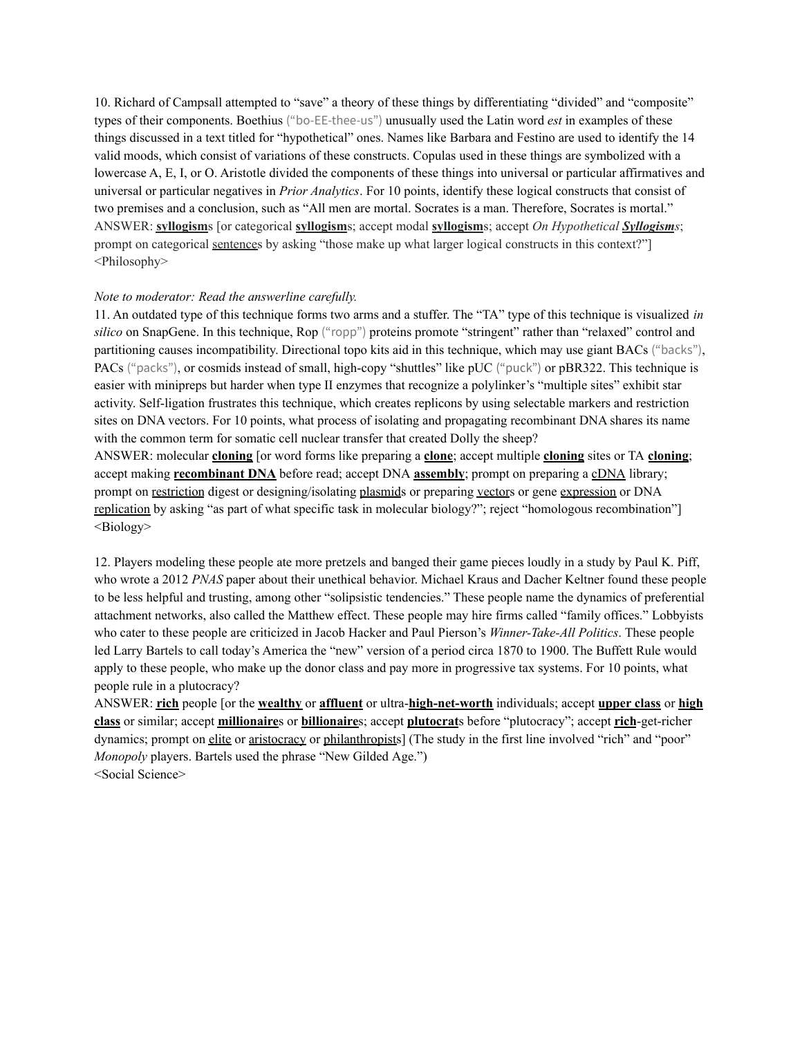10. Richard of Campsall attempted to "save" a theory of these things by differentiating "divided" and "composite" types of their components. Boethius ("bo-EE-thee-us") unusually used the Latin word *est* in examples of these things discussed in a text titled for "hypothetical" ones. Names like Barbara and Festino are used to identify the 14 valid moods, which consist of variations of these constructs. Copulas used in these things are symbolized with a lowercase A, E, I, or O. Aristotle divided the components of these things into universal or particular affirmatives and universal or particular negatives in *Prior Analytics*. For 10 points, identify these logical constructs that consist of two premises and a conclusion, such as "All men are mortal. Socrates is a man. Therefore, Socrates is mortal." ANSWER: **syllogism**s [or categorical **syllogism**s; accept modal **syllogism**s; accept *On Hypothetical Syllogisms*; prompt on categorical sentences by asking "those make up what larger logical constructs in this context?"] <Philosophy>

#### *Note to moderator: Read the answerline carefully.*

11. An outdated type of this technique forms two arms and a stuffer. The "TA" type of this technique is visualized *in silico* on SnapGene. In this technique, Rop ("ropp") proteins promote "stringent" rather than "relaxed" control and partitioning causes incompatibility. Directional topo kits aid in this technique, which may use giant BACs ("backs"), PACs ("packs"), or cosmids instead of small, high-copy "shuttles" like pUC ("puck") or pBR322. This technique is easier with minipreps but harder when type II enzymes that recognize a polylinker's "multiple sites" exhibit star activity. Self-ligation frustrates this technique, which creates replicons by using selectable markers and restriction sites on DNA vectors. For 10 points, what process of isolating and propagating recombinant DNA shares its name with the common term for somatic cell nuclear transfer that created Dolly the sheep? ANSWER: molecular **cloning** [or word forms like preparing a **clone**; accept multiple **cloning** sites or TA **cloning**; accept making **recombinant DNA** before read; accept DNA **assembly**; prompt on preparing a cDNA library; prompt on restriction digest or designing/isolating plasmids or preparing vectors or gene expression or DNA

replication by asking "as part of what specific task in molecular biology?"; reject "homologous recombination"] <Biology>

12. Players modeling these people ate more pretzels and banged their game pieces loudly in a study by Paul K. Piff, who wrote a 2012 *PNAS* paper about their unethical behavior. Michael Kraus and Dacher Keltner found these people to be less helpful and trusting, among other "solipsistic tendencies." These people name the dynamics of preferential attachment networks, also called the Matthew effect. These people may hire firms called "family offices." Lobbyists who cater to these people are criticized in Jacob Hacker and Paul Pierson's *Winner-Take-All Politics*. These people led Larry Bartels to call today's America the "new" version of a period circa 1870 to 1900. The Buffett Rule would apply to these people, who make up the donor class and pay more in progressive tax systems. For 10 points, what people rule in a plutocracy?

ANSWER: **rich** people [or the **wealthy** or **affluent** or ultra-**high-net-worth** individuals; accept **upper class** or **high class** or similar; accept **millionaire**s or **billionaire**s; accept **plutocrat**s before "plutocracy"; accept **rich**-get-richer dynamics; prompt on elite or aristocracy or philanthropists] (The study in the first line involved "rich" and "poor" *Monopoly* players. Bartels used the phrase "New Gilded Age.") <Social Science>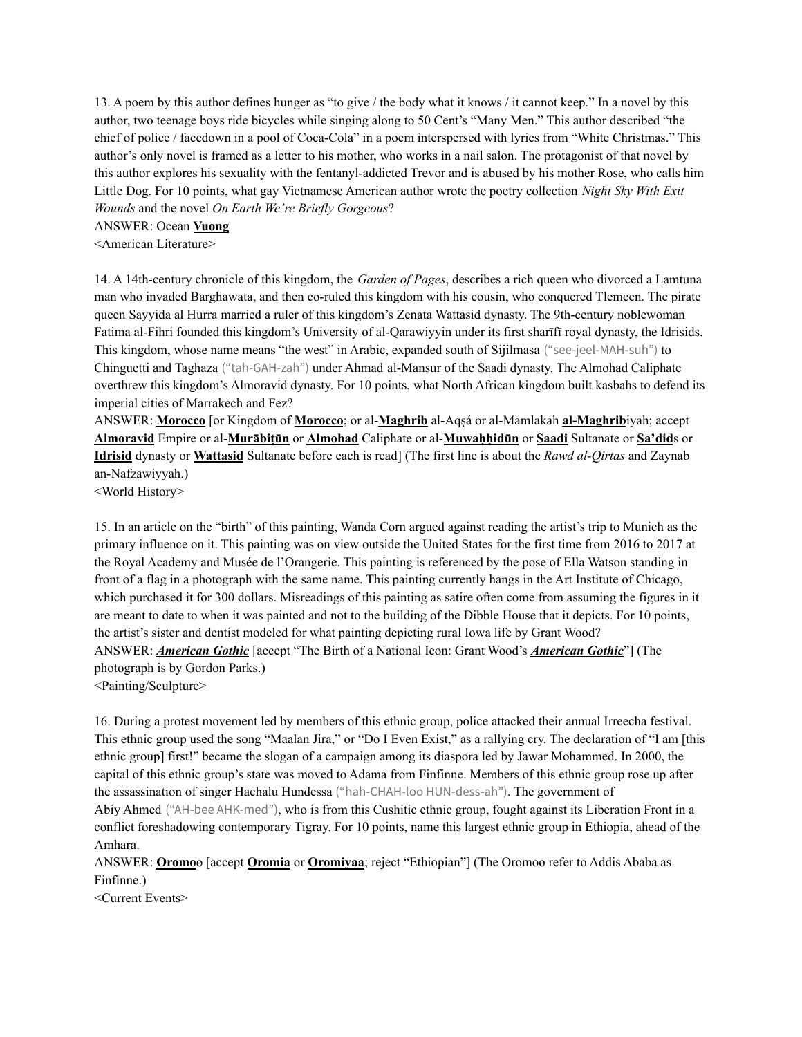13. A poem by this author defines hunger as "to give / the body what it knows / it cannot keep." In a novel by this author, two teenage boys ride bicycles while singing along to 50 Cent's "Many Men." This author described "the chief of police / facedown in a pool of Coca-Cola" in a poem interspersed with lyrics from "White Christmas." This author's only novel is framed as a letter to his mother, who works in a nail salon. The protagonist of that novel by this author explores his sexuality with the fentanyl-addicted Trevor and is abused by his mother Rose, who calls him Little Dog. For 10 points, what gay Vietnamese American author wrote the poetry collection *Night Sky With Exit Wounds* and the novel *On Earth We're Briefly Gorgeous*?

ANSWER: Ocean **Vuong**

<American Literature>

14. A 14th-century chronicle of this kingdom, the *Garden of Pages*, describes a rich queen who divorced a Lamtuna man who invaded Barghawata, and then co-ruled this kingdom with his cousin, who conquered Tlemcen. The pirate queen Sayyida al Hurra married a ruler of this kingdom's Zenata Wattasid dynasty. The 9th-century noblewoman Fatima al-Fihri founded this kingdom's University of al-Qarawiyyin under its first sharīfī royal dynasty, the Idrisids. This kingdom, whose name means "the west" in Arabic, expanded south of Sijilmasa ("see-jeel-MAH-suh") to Chinguetti and Taghaza ("tah-GAH-zah") under Ahmad al-Mansur of the Saadi dynasty. The Almohad Caliphate overthrew this kingdom's Almoravid dynasty. For 10 points, what North African kingdom built kasbahs to defend its imperial cities of Marrakech and Fez?

ANSWER: **Morocco** [or Kingdom of **Morocco**; or al-**Maghrib** al-Aqṣá or al-Mamlakah **al-Maghrib**iyah; accept **Almoravid** Empire or al-**Murābiṭūn** or **Almohad** Caliphate or al-**Muwaḥḥidūn** or **Saadi** Sultanate or **Sa'did**s or **Idrisid** dynasty or **Wattasid** Sultanate before each is read] (The first line is about the *Rawd al-Qirtas* and Zaynab an-Nafzawiyyah.)

<World History>

15. In an article on the "birth" of this painting, Wanda Corn argued against reading the artist's trip to Munich as the primary influence on it. This painting was on view outside the United States for the first time from 2016 to 2017 at the Royal Academy and Musée de l'Orangerie. This painting is referenced by the pose of Ella Watson standing in front of a flag in a photograph with the same name. This painting currently hangs in the Art Institute of Chicago, which purchased it for 300 dollars. Misreadings of this painting as satire often come from assuming the figures in it are meant to date to when it was painted and not to the building of the Dibble House that it depicts. For 10 points, the artist's sister and dentist modeled for what painting depicting rural Iowa life by Grant Wood? ANSWER: *American Gothic* [accept "The Birth of a National Icon: Grant Wood's *American Gothic*"] (The photograph is by Gordon Parks.) <Painting/Sculpture>

16. During a protest movement led by members of this ethnic group, police attacked their annual Irreecha festival. This ethnic group used the song "Maalan Jira," or "Do I Even Exist," as a rallying cry. The declaration of "I am [this ethnic group] first!" became the slogan of a campaign among its diaspora led by Jawar Mohammed. In 2000, the capital of this ethnic group's state was moved to Adama from Finfinne. Members of this ethnic group rose up after the assassination of singer Hachalu Hundessa ("hah-CHAH-loo HUN-dess-ah"). The government of Abiy Ahmed ("AH-bee AHK-med"), who is from this Cushitic ethnic group, fought against its Liberation Front in a conflict foreshadowing contemporary Tigray. For 10 points, name this largest ethnic group in Ethiopia, ahead of the

Amhara.

ANSWER: **Oromo**o [accept **Oromia** or **Oromiyaa**; reject "Ethiopian"] (The Oromoo refer to Addis Ababa as Finfinne.)

<Current Events>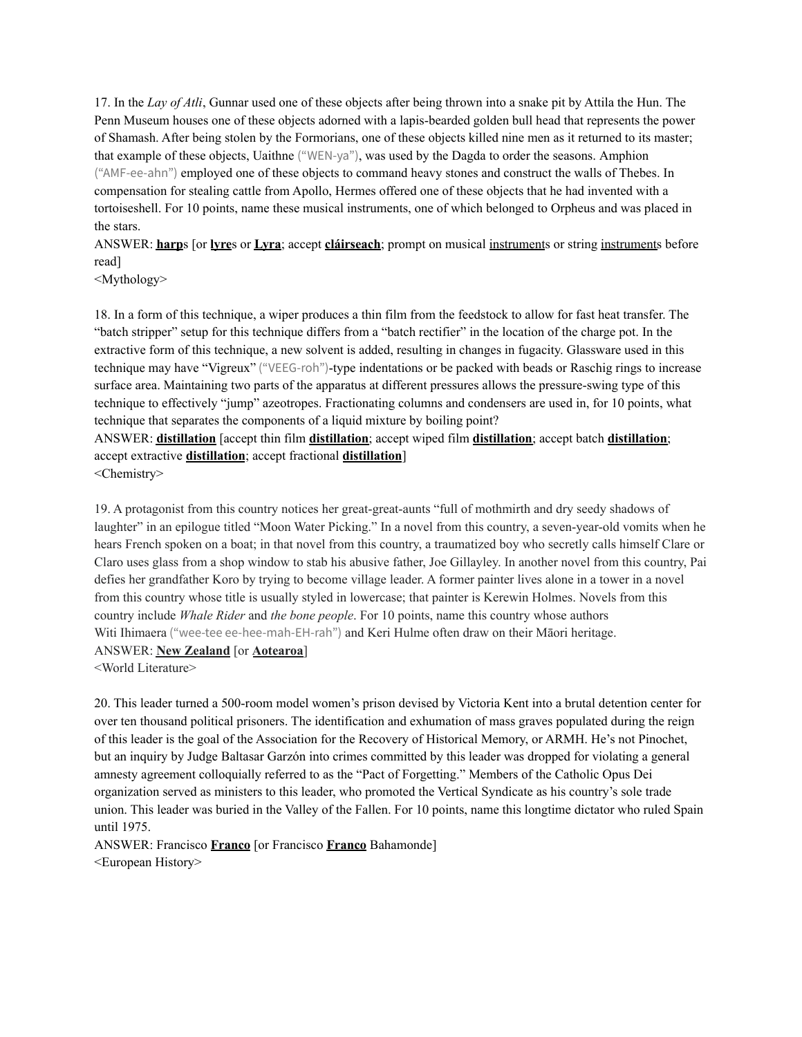17. In the *Lay of Atli*, Gunnar used one of these objects after being thrown into a snake pit by Attila the Hun. The Penn Museum houses one of these objects adorned with a lapis-bearded golden bull head that represents the power of Shamash. After being stolen by the Formorians, one of these objects killed nine men as it returned to its master; that example of these objects, Uaithne ("WEN-ya"), was used by the Dagda to order the seasons. Amphion ("AMF-ee-ahn") employed one of these objects to command heavy stones and construct the walls of Thebes. In compensation for stealing cattle from Apollo, Hermes offered one of these objects that he had invented with a tortoiseshell. For 10 points, name these musical instruments, one of which belonged to Orpheus and was placed in the stars.

ANSWER: **harp**s [or **lyre**s or **Lyra**; accept **cláirseach**; prompt on musical instruments or string instruments before read]

<Mythology>

18. In a form of this technique, a wiper produces a thin film from the feedstock to allow for fast heat transfer. The "batch stripper" setup for this technique differs from a "batch rectifier" in the location of the charge pot. In the extractive form of this technique, a new solvent is added, resulting in changes in fugacity. Glassware used in this technique may have "Vigreux" ("VEEG-roh")-type indentations or be packed with beads or Raschig rings to increase surface area. Maintaining two parts of the apparatus at different pressures allows the pressure-swing type of this technique to effectively "jump" azeotropes. Fractionating columns and condensers are used in, for 10 points, what technique that separates the components of a liquid mixture by boiling point?

ANSWER: **distillation** [accept thin film **distillation**; accept wiped film **distillation**; accept batch **distillation**; accept extractive **distillation**; accept fractional **distillation**]

<Chemistry>

19. A protagonist from this country notices her great-great-aunts "full of mothmirth and dry seedy shadows of laughter" in an epilogue titled "Moon Water Picking." In a novel from this country, a seven-year-old vomits when he hears French spoken on a boat; in that novel from this country, a traumatized boy who secretly calls himself Clare or Claro uses glass from a shop window to stab his abusive father, Joe Gillayley. In another novel from this country, Pai defies her grandfather Koro by trying to become village leader. A former painter lives alone in a tower in a novel from this country whose title is usually styled in lowercase; that painter is Kerewin Holmes. Novels from this country include *Whale Rider* and *the bone people*. For 10 points, name this country whose authors Witi Ihimaera ("wee-tee ee-hee-mah-EH-rah") and Keri Hulme often draw on their Māori heritage. ANSWER: **New Zealand** [or **Aotearoa**]

<World Literature>

20. This leader turned a 500-room model women's prison devised by Victoria Kent into a brutal detention center for over ten thousand political prisoners. The identification and exhumation of mass graves populated during the reign of this leader is the goal of the Association for the Recovery of Historical Memory, or ARMH. He's not Pinochet, but an inquiry by Judge Baltasar Garzón into crimes committed by this leader was dropped for violating a general amnesty agreement colloquially referred to as the "Pact of Forgetting." Members of the Catholic Opus Dei organization served as ministers to this leader, who promoted the Vertical Syndicate as his country's sole trade union. This leader was buried in the Valley of the Fallen. For 10 points, name this longtime dictator who ruled Spain until 1975.

ANSWER: Francisco **Franco** [or Francisco **Franco** Bahamonde] <European History>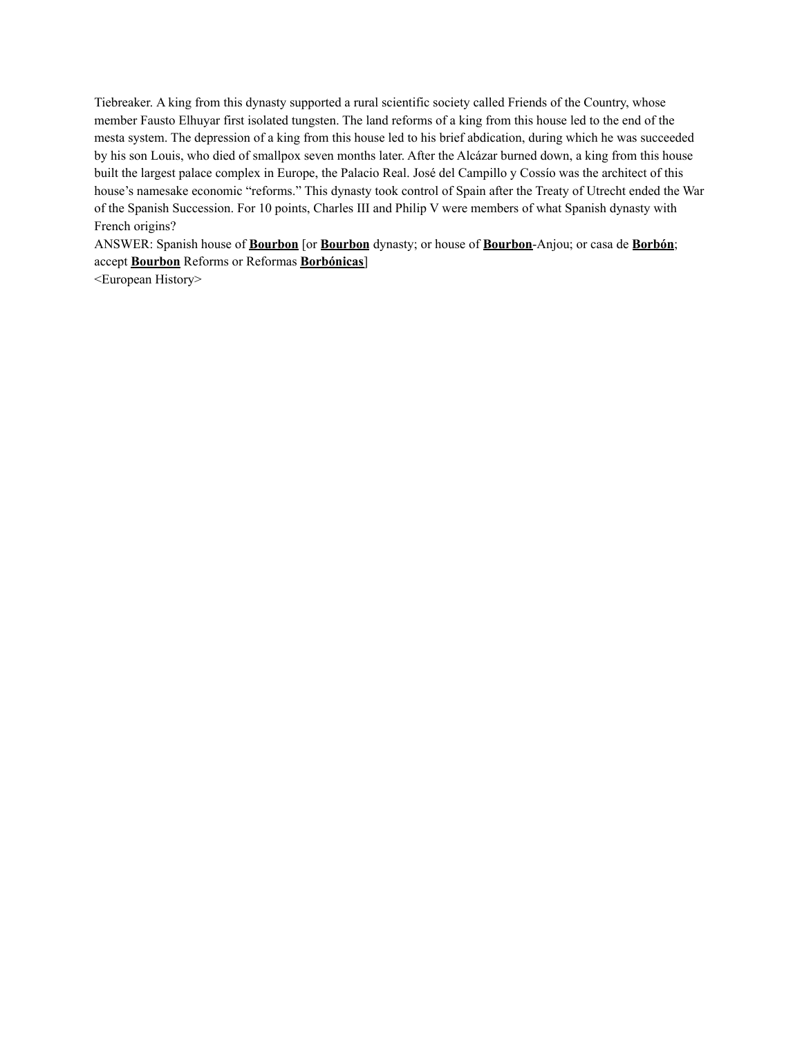Tiebreaker. A king from this dynasty supported a rural scientific society called Friends of the Country, whose member Fausto Elhuyar first isolated tungsten. The land reforms of a king from this house led to the end of the mesta system. The depression of a king from this house led to his brief abdication, during which he was succeeded by his son Louis, who died of smallpox seven months later. After the Alcázar burned down, a king from this house built the largest palace complex in Europe, the Palacio Real. José del Campillo y Cossío was the architect of this house's namesake economic "reforms." This dynasty took control of Spain after the Treaty of Utrecht ended the War of the Spanish Succession. For 10 points, Charles III and Philip V were members of what Spanish dynasty with French origins?

ANSWER: Spanish house of **Bourbon** [or **Bourbon** dynasty; or house of **Bourbon**-Anjou; or casa de **Borbón**; accept **Bourbon** Reforms or Reformas **Borbónicas**]

<European History>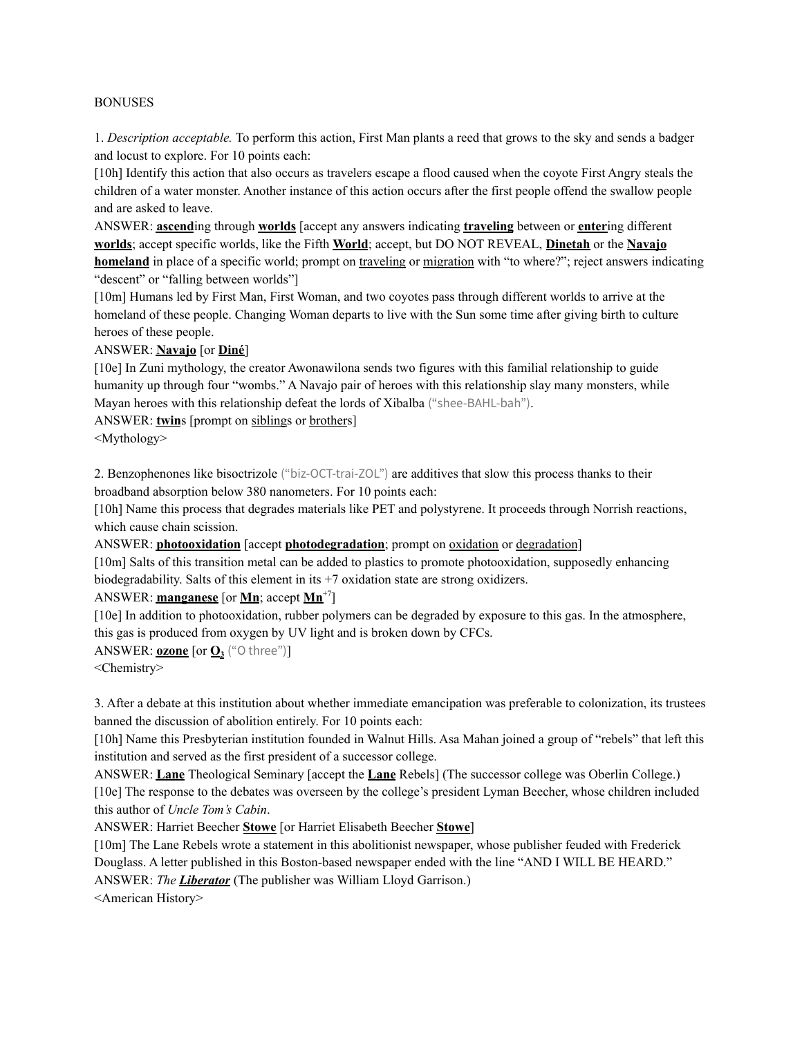#### BONUSES

1. *Description acceptable.* To perform this action, First Man plants a reed that grows to the sky and sends a badger and locust to explore. For 10 points each:

[10h] Identify this action that also occurs as travelers escape a flood caused when the coyote First Angry steals the children of a water monster. Another instance of this action occurs after the first people offend the swallow people and are asked to leave.

ANSWER: **ascend**ing through **worlds** [accept any answers indicating **traveling** between or **enter**ing different **worlds**; accept specific worlds, like the Fifth **World**; accept, but DO NOT REVEAL, **Dinetah** or the **Navajo homeland** in place of a specific world; prompt on traveling or migration with "to where?"; reject answers indicating "descent" or "falling between worlds"

[10m] Humans led by First Man, First Woman, and two coyotes pass through different worlds to arrive at the homeland of these people. Changing Woman departs to live with the Sun some time after giving birth to culture heroes of these people.

### ANSWER: **Navajo** [or **Diné**]

[10e] In Zuni mythology, the creator Awonawilona sends two figures with this familial relationship to guide humanity up through four "wombs." A Navajo pair of heroes with this relationship slay many monsters, while Mayan heroes with this relationship defeat the lords of Xibalba ("shee-BAHL-bah").

ANSWER: **twin**s [prompt on siblings or brothers]

<Mythology>

2. Benzophenones like bisoctrizole ("biz-OCT-trai-ZOL") are additives that slow this process thanks to their broadband absorption below 380 nanometers. For 10 points each:

[10h] Name this process that degrades materials like PET and polystyrene. It proceeds through Norrish reactions, which cause chain scission.

ANSWER: **photooxidation** [accept **photodegradation**; prompt on <u>oxidation</u> or degradation]

[10m] Salts of this transition metal can be added to plastics to promote photooxidation, supposedly enhancing biodegradability. Salts of this element in its +7 oxidation state are strong oxidizers.

ANSWER: **manganese** [or **Mn**; accept **Mn** +7]

[10e] In addition to photooxidation, rubber polymers can be degraded by exposure to this gas. In the atmosphere, this gas is produced from oxygen by UV light and is broken down by CFCs.

ANSWER: **ozone** [or **O<sup>3</sup>** ("O three")]

<Chemistry>

3. After a debate at this institution about whether immediate emancipation was preferable to colonization, its trustees banned the discussion of abolition entirely. For 10 points each:

[10h] Name this Presbyterian institution founded in Walnut Hills. Asa Mahan joined a group of "rebels" that left this institution and served as the first president of a successor college.

ANSWER: **Lane** Theological Seminary [accept the **Lane** Rebels] (The successor college was Oberlin College.) [10e] The response to the debates was overseen by the college's president Lyman Beecher, whose children included this author of *Uncle Tom's Cabin*.

ANSWER: Harriet Beecher **Stowe** [or Harriet Elisabeth Beecher **Stowe**]

[10m] The Lane Rebels wrote a statement in this abolitionist newspaper, whose publisher feuded with Frederick Douglass. A letter published in this Boston-based newspaper ended with the line "AND I WILL BE HEARD." ANSWER: *The Liberator* (The publisher was William Lloyd Garrison.)

<American History>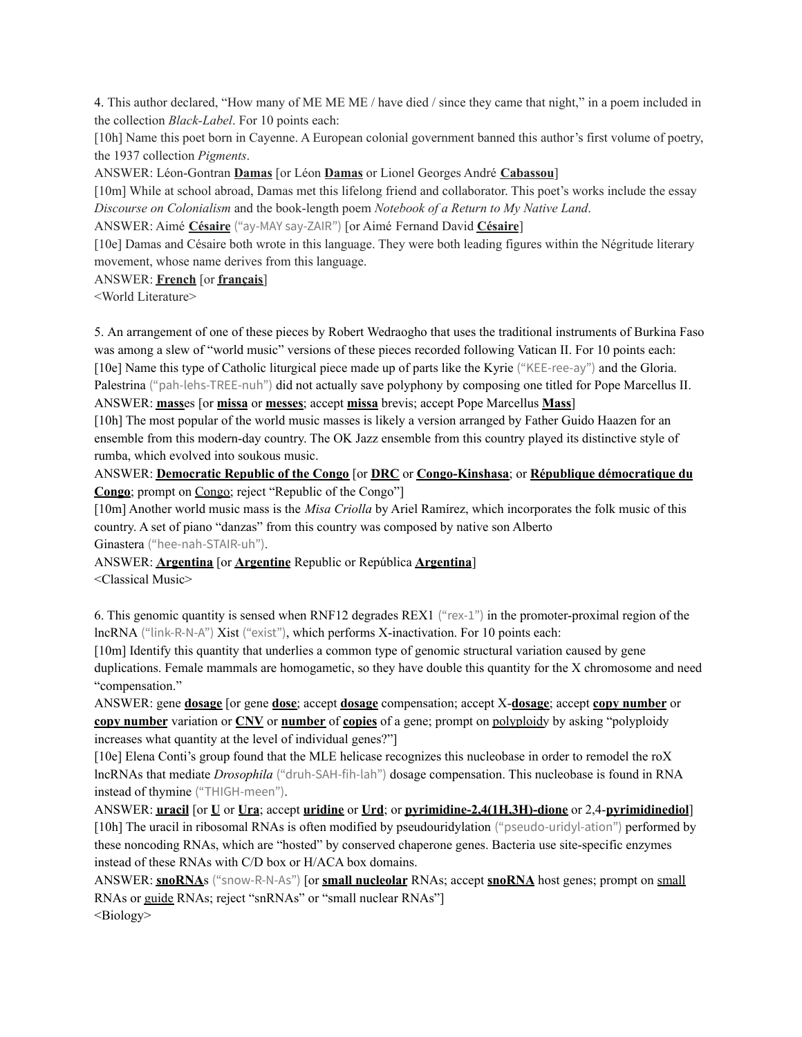4. This author declared, "How many of ME ME ME / have died / since they came that night," in a poem included in the collection *Black-Label*. For 10 points each:

[10h] Name this poet born in Cayenne. A European colonial government banned this author's first volume of poetry, the 1937 collection *Pigments*.

ANSWER: Léon-Gontran **Damas** [or Léon **Damas** or Lionel Georges André **Cabassou**]

[10m] While at school abroad, Damas met this lifelong friend and collaborator. This poet's works include the essay *Discourse on Colonialism* and the book-length poem *Notebook of a Return to My Native Land*.

ANSWER: Aimé **Césaire** ("ay-MAY say-ZAIR") [or Aimé Fernand David **Césaire**]

[10e] Damas and Césaire both wrote in this language. They were both leading figures within the Négritude literary movement, whose name derives from this language.

### ANSWER: **French** [or **français**]

<World Literature>

5. An arrangement of one of these pieces by Robert Wedraogho that uses the traditional instruments of Burkina Faso was among a slew of "world music" versions of these pieces recorded following Vatican II. For 10 points each: [10e] Name this type of Catholic liturgical piece made up of parts like the Kyrie ("KEE-ree-ay") and the Gloria. Palestrina ("pah-lehs-TREE-nuh") did not actually save polyphony by composing one titled for Pope Marcellus II. ANSWER: **mass**es [or **missa** or **messes**; accept **missa** brevis; accept Pope Marcellus **Mass**]

[10h] The most popular of the world music masses is likely a version arranged by Father Guido Haazen for an ensemble from this modern-day country. The OK Jazz ensemble from this country played its distinctive style of rumba, which evolved into soukous music.

ANSWER: **Democratic Republic of the Congo** [or **DRC** or **Congo-Kinshasa**; or **République démocratique du Congo**; prompt on Congo; reject "Republic of the Congo"]

[10m] Another world music mass is the *Misa Criolla* by Ariel Ramírez, which incorporates the folk music of this country. A set of piano "danzas" from this country was composed by native son Alberto Ginastera ("hee-nah-STAIR-uh").

ANSWER: **Argentina** [or **Argentine** Republic or República **Argentina**]

<Classical Music>

6. This genomic quantity is sensed when RNF12 degrades REX1 ("rex-1") in the promoter-proximal region of the lncRNA ("link-R-N-A") Xist ("exist"), which performs X-inactivation. For 10 points each:

[10m] Identify this quantity that underlies a common type of genomic structural variation caused by gene duplications. Female mammals are homogametic, so they have double this quantity for the X chromosome and need "compensation."

ANSWER: gene **dosage** [or gene **dose**; accept **dosage** compensation; accept X-**dosage**; accept **copy number** or **copy number** variation or **CNV** or **number** of **copies** of a gene; prompt on polyploidy by asking "polyploidy increases what quantity at the level of individual genes?"]

[10e] Elena Conti's group found that the MLE helicase recognizes this nucleobase in order to remodel the roX lncRNAs that mediate *Drosophila* ("druh-SAH-fih-lah") dosage compensation. This nucleobase is found in RNA instead of thymine ("THIGH-meen").

ANSWER: **uracil** [or **U** or **Ura**; accept **uridine** or **Urd**; or **pyrimidine-2,4(1H,3H)-dione** or 2,4-**pyrimidinediol**] [10h] The uracil in ribosomal RNAs is often modified by pseudouridylation ("pseudo-uridyl-ation") performed by these noncoding RNAs, which are "hosted" by conserved chaperone genes. Bacteria use site-specific enzymes instead of these RNAs with C/D box or H/ACA box domains.

ANSWER: **snoRNA**s ("snow-R-N-As") [or **small nucleolar** RNAs; accept **snoRNA** host genes; prompt on small RNAs or guide RNAs; reject "snRNAs" or "small nuclear RNAs"] <Biology>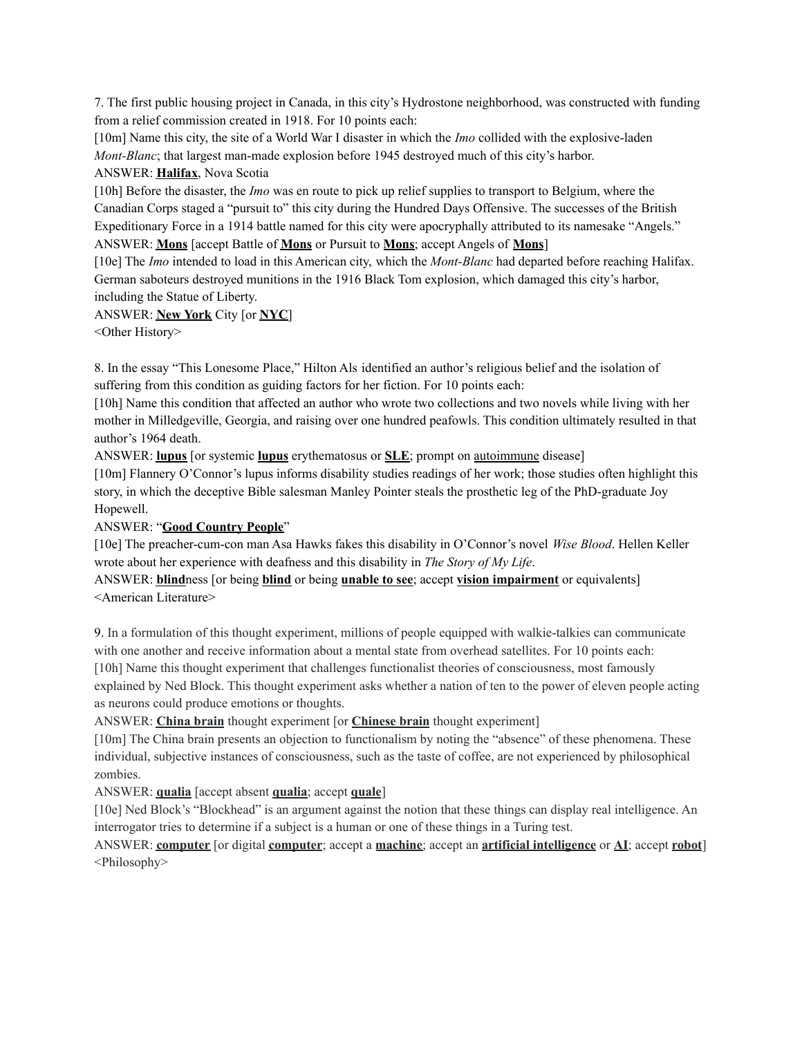7. The first public housing project in Canada, in this city's Hydrostone neighborhood, was constructed with funding from a relief commission created in 1918. For 10 points each:

[10m] Name this city, the site of a World War I disaster in which the *Imo* collided with the explosive-laden *Mont-Blanc*; that largest man-made explosion before 1945 destroyed much of this city's harbor.

### ANSWER: **Halifax**, Nova Scotia

[10h] Before the disaster, the *Imo* was en route to pick up relief supplies to transport to Belgium, where the Canadian Corps staged a "pursuit to" this city during the Hundred Days Offensive. The successes of the British Expeditionary Force in a 1914 battle named for this city were apocryphally attributed to its namesake "Angels." ANSWER: **Mons** [accept Battle of **Mons** or Pursuit to **Mons**; accept Angels of **Mons**]

[10e] The *Imo* intended to load in this American city, which the *Mont-Blanc* had departed before reaching Halifax. German saboteurs destroyed munitions in the 1916 Black Tom explosion, which damaged this city's harbor, including the Statue of Liberty.

# ANSWER: **New York** City [or **NYC**]

<Other History>

8. In the essay "This Lonesome Place," Hilton Als identified an author's religious belief and the isolation of suffering from this condition as guiding factors for her fiction. For 10 points each:

[10h] Name this condition that affected an author who wrote two collections and two novels while living with her mother in Milledgeville, Georgia, and raising over one hundred peafowls. This condition ultimately resulted in that author's 1964 death.

ANSWER: **lupus** [or systemic **lupus** erythematosus or **SLE**; prompt on autoimmune disease]

[10m] Flannery O'Connor's lupus informs disability studies readings of her work; those studies often highlight this story, in which the deceptive Bible salesman Manley Pointer steals the prosthetic leg of the PhD-graduate Joy Hopewell.

# ANSWER: "**Good Country People**"

[10e] The preacher-cum-con man Asa Hawks fakes this disability in O'Connor's novel *Wise Blood*. Hellen Keller wrote about her experience with deafness and this disability in *The Story of My Life*.

# ANSWER: **blind**ness [or being **blind** or being **unable to see**; accept **vision impairment** or equivalents] <American Literature>

9. In a formulation of this thought experiment, millions of people equipped with walkie-talkies can communicate with one another and receive information about a mental state from overhead satellites. For 10 points each: [10h] Name this thought experiment that challenges functionalist theories of consciousness, most famously explained by Ned Block. This thought experiment asks whether a nation of ten to the power of eleven people acting as neurons could produce emotions or thoughts.

ANSWER: **China brain** thought experiment [or **Chinese brain** thought experiment]

[10m] The China brain presents an objection to functionalism by noting the "absence" of these phenomena. These individual, subjective instances of consciousness, such as the taste of coffee, are not experienced by philosophical zombies.

ANSWER: **qualia** [accept absent **qualia**; accept **quale**]

[10e] Ned Block's "Blockhead" is an argument against the notion that these things can display real intelligence. An interrogator tries to determine if a subject is a human or one of these things in a Turing test.

ANSWER: **computer** [or digital **computer**; accept a **machine**; accept an **artificial intelligence** or **AI**; accept **robot**] <Philosophy>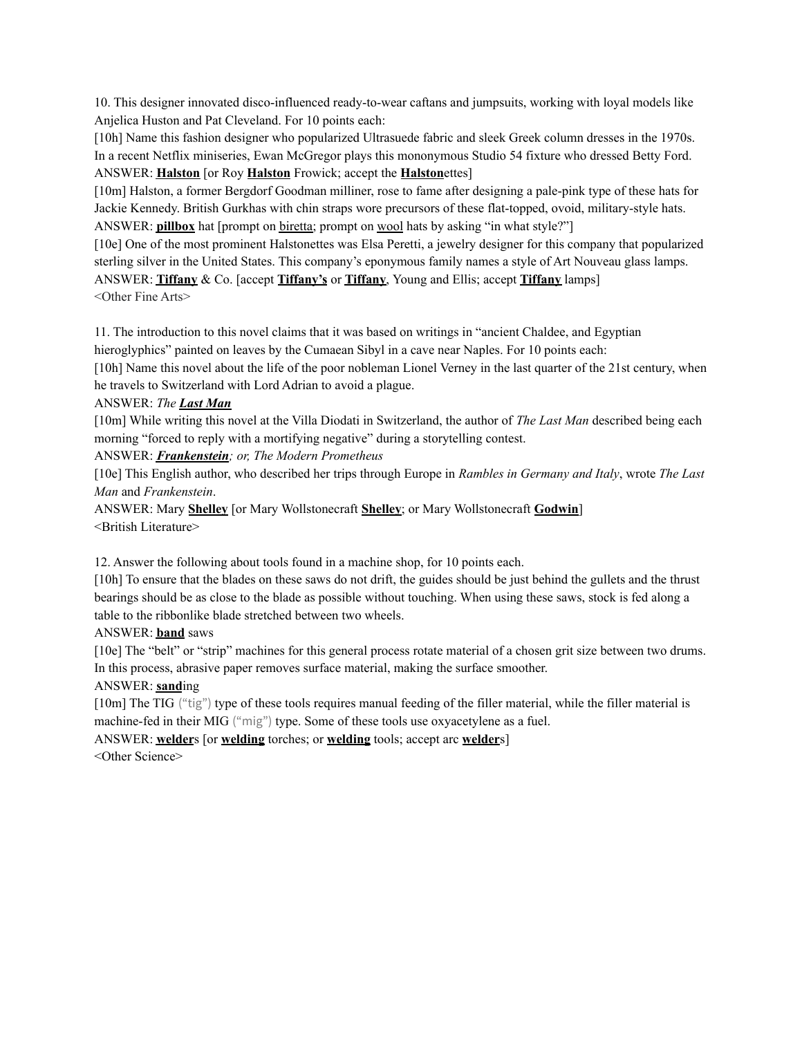10. This designer innovated disco-influenced ready-to-wear caftans and jumpsuits, working with loyal models like Anjelica Huston and Pat Cleveland. For 10 points each:

[10h] Name this fashion designer who popularized Ultrasuede fabric and sleek Greek column dresses in the 1970s. In a recent Netflix miniseries, Ewan McGregor plays this mononymous Studio 54 fixture who dressed Betty Ford. ANSWER: **Halston** [or Roy **Halston** Frowick; accept the **Halston**ettes]

[10m] Halston, a former Bergdorf Goodman milliner, rose to fame after designing a pale-pink type of these hats for Jackie Kennedy. British Gurkhas with chin straps wore precursors of these flat-topped, ovoid, military-style hats. ANSWER: **pillbox** hat [prompt on biretta; prompt on wool hats by asking "in what style?"]

[10e] One of the most prominent Halstonettes was Elsa Peretti, a jewelry designer for this company that popularized sterling silver in the United States. This company's eponymous family names a style of Art Nouveau glass lamps. ANSWER: **Tiffany** & Co. [accept **Tiffany's** or **Tiffany**, Young and Ellis; accept **Tiffany** lamps] <Other Fine Arts>

11. The introduction to this novel claims that it was based on writings in "ancient Chaldee, and Egyptian hieroglyphics" painted on leaves by the Cumaean Sibyl in a cave near Naples. For 10 points each:

[10h] Name this novel about the life of the poor nobleman Lionel Verney in the last quarter of the 21st century, when he travels to Switzerland with Lord Adrian to avoid a plague.

### ANSWER: *The Last Man*

[10m] While writing this novel at the Villa Diodati in Switzerland, the author of *The Last Man* described being each morning "forced to reply with a mortifying negative" during a storytelling contest.

ANSWER: *Frankenstein; or, The Modern Prometheus*

[10e] This English author, who described her trips through Europe in *Rambles in Germany and Italy*, wrote *The Last Man* and *Frankenstein*.

ANSWER: Mary **Shelley** [or Mary Wollstonecraft **Shelley**; or Mary Wollstonecraft **Godwin**] <British Literature>

12. Answer the following about tools found in a machine shop, for 10 points each.

[10h] To ensure that the blades on these saws do not drift, the guides should be just behind the gullets and the thrust bearings should be as close to the blade as possible without touching. When using these saws, stock is fed along a table to the ribbonlike blade stretched between two wheels.

# ANSWER: **band** saws

[10e] The "belt" or "strip" machines for this general process rotate material of a chosen grit size between two drums. In this process, abrasive paper removes surface material, making the surface smoother.

# ANSWER: **sand**ing

[10m] The TIG ("tig") type of these tools requires manual feeding of the filler material, while the filler material is machine-fed in their MIG ("mig") type. Some of these tools use oxyacetylene as a fuel.

ANSWER: **welder**s [or **welding** torches; or **welding** tools; accept arc **welder**s] <Other Science>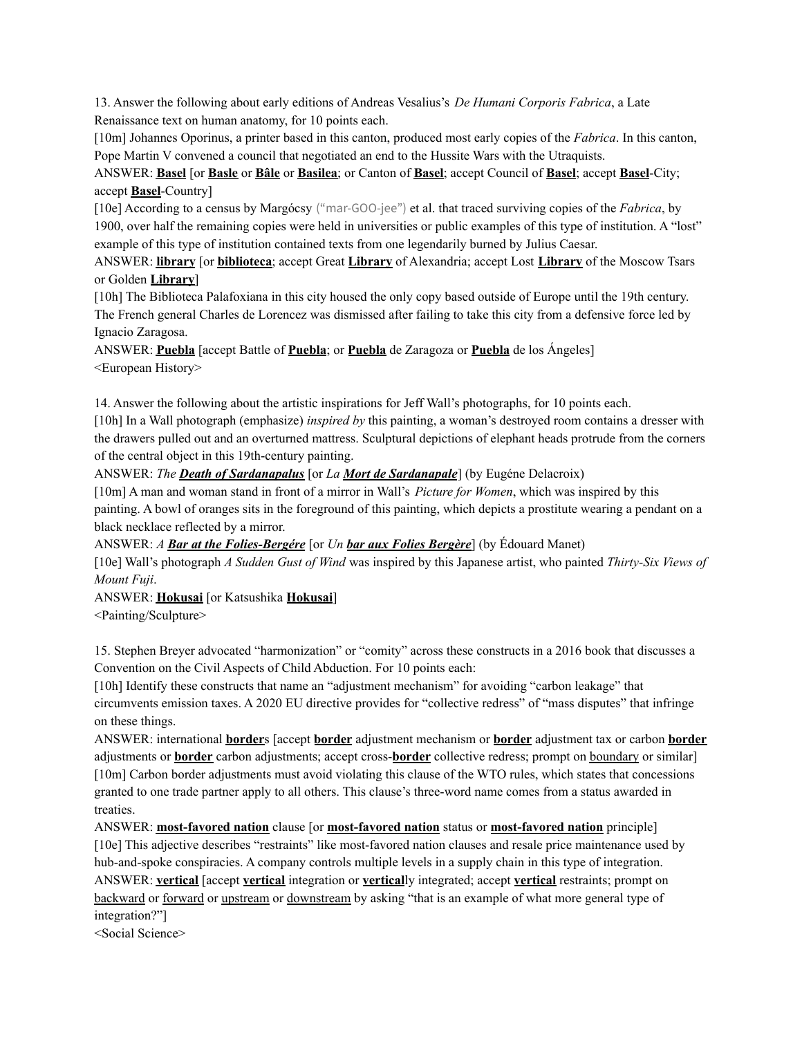13. Answer the following about early editions of Andreas Vesalius's *De Humani Corporis Fabrica*, a Late Renaissance text on human anatomy, for 10 points each.

[10m] Johannes Oporinus, a printer based in this canton, produced most early copies of the *Fabrica*. In this canton, Pope Martin V convened a council that negotiated an end to the Hussite Wars with the Utraquists.

ANSWER: **Basel** [or **Basle** or **Bâle** or **Basilea**; or Canton of **Basel**; accept Council of **Basel**; accept **Basel**-City; accept **Basel**-Country]

[10e] According to a census by Margócsy ("mar-GOO-jee") et al. that traced surviving copies of the *Fabrica*, by 1900, over half the remaining copies were held in universities or public examples of this type of institution. A "lost" example of this type of institution contained texts from one legendarily burned by Julius Caesar.

ANSWER: **library** [or **biblioteca**; accept Great **Library** of Alexandria; accept Lost **Library** of the Moscow Tsars or Golden **Library**]

[10h] The Biblioteca Palafoxiana in this city housed the only copy based outside of Europe until the 19th century. The French general Charles de Lorencez was dismissed after failing to take this city from a defensive force led by Ignacio Zaragosa.

ANSWER: **Puebla** [accept Battle of **Puebla**; or **Puebla** de Zaragoza or **Puebla** de los Ángeles] <European History>

14. Answer the following about the artistic inspirations for Jeff Wall's photographs, for 10 points each.

[10h] In a Wall photograph (emphasize) *inspired by* this painting, a woman's destroyed room contains a dresser with the drawers pulled out and an overturned mattress. Sculptural depictions of elephant heads protrude from the corners of the central object in this 19th-century painting.

ANSWER: *The Death of Sardanapalus* [or *La Mort de Sardanapale*] (by Eugéne Delacroix)

[10m] A man and woman stand in front of a mirror in Wall's *Picture for Women*, which was inspired by this painting. A bowl of oranges sits in the foreground of this painting, which depicts a prostitute wearing a pendant on a black necklace reflected by a mirror.

ANSWER: *A Bar at the Folies-Bergére* [or *Un bar aux Folies Bergère*] (by Édouard Manet)

[10e] Wall's photograph *A Sudden Gust of Wind* was inspired by this Japanese artist, who painted *Thirty-Six Views of Mount Fuji*.

ANSWER: **Hokusai** [or Katsushika **Hokusai**]

<Painting/Sculpture>

15. Stephen Breyer advocated "harmonization" or "comity" across these constructs in a 2016 book that discusses a Convention on the Civil Aspects of Child Abduction. For 10 points each:

[10h] Identify these constructs that name an "adjustment mechanism" for avoiding "carbon leakage" that circumvents emission taxes. A 2020 EU directive provides for "collective redress" of "mass disputes" that infringe on these things.

ANSWER: international **border**s [accept **border** adjustment mechanism or **border** adjustment tax or carbon **border** adjustments or **border** carbon adjustments; accept cross-**border** collective redress; prompt on boundary or similar] [10m] Carbon border adjustments must avoid violating this clause of the WTO rules, which states that concessions granted to one trade partner apply to all others. This clause's three-word name comes from a status awarded in treaties.

ANSWER: **most-favored nation** clause [or **most-favored nation** status or **most-favored nation** principle] [10e] This adjective describes "restraints" like most-favored nation clauses and resale price maintenance used by hub-and-spoke conspiracies. A company controls multiple levels in a supply chain in this type of integration. ANSWER: **vertical** [accept **vertical** integration or **vertical**ly integrated; accept **vertical** restraints; prompt on backward or forward or upstream or downstream by asking "that is an example of what more general type of integration?"]

<Social Science>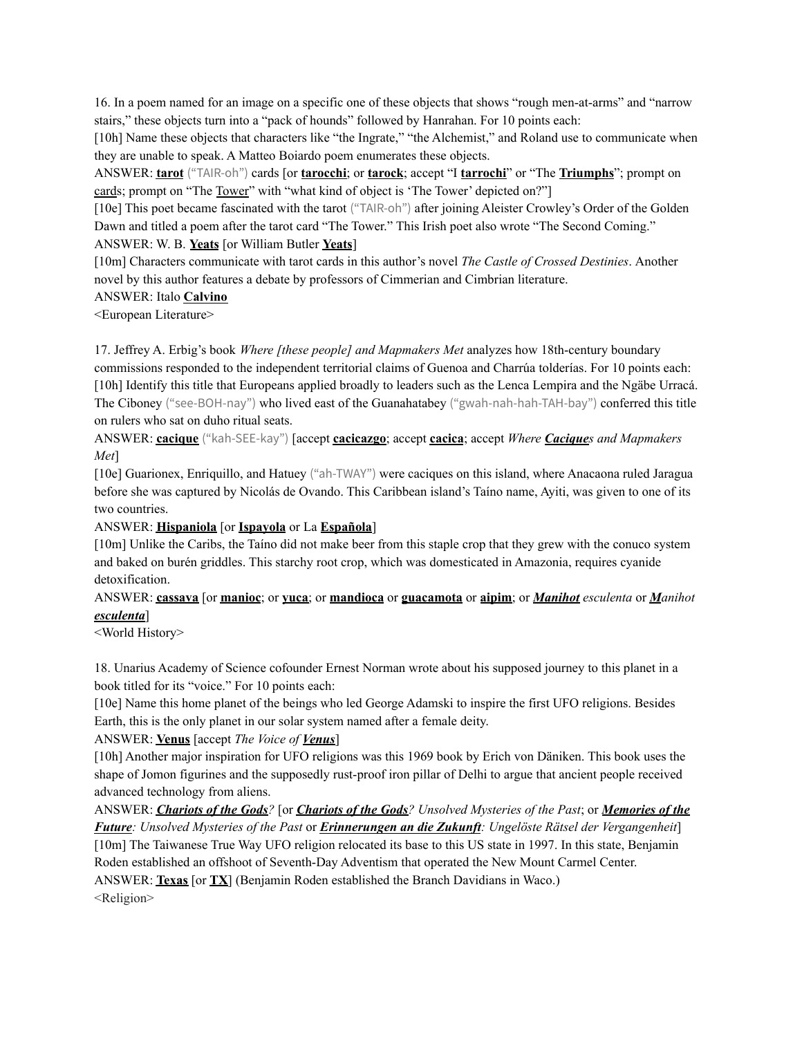16. In a poem named for an image on a specific one of these objects that shows "rough men-at-arms" and "narrow stairs," these objects turn into a "pack of hounds" followed by Hanrahan. For 10 points each:

[10h] Name these objects that characters like "the Ingrate," "the Alchemist," and Roland use to communicate when they are unable to speak. A Matteo Boiardo poem enumerates these objects.

ANSWER: **tarot** ("TAIR-oh") cards [or **tarocchi**; or **tarock**; accept "I **tarrochi**" or "The **Triumphs**"; prompt on cards; prompt on "The Tower" with "what kind of object is 'The Tower' depicted on?"]

[10e] This poet became fascinated with the tarot ("TAIR-oh") after joining Aleister Crowley's Order of the Golden Dawn and titled a poem after the tarot card "The Tower." This Irish poet also wrote "The Second Coming." ANSWER: W. B. **Yeats** [or William Butler **Yeats**]

[10m] Characters communicate with tarot cards in this author's novel *The Castle of Crossed Destinies*. Another novel by this author features a debate by professors of Cimmerian and Cimbrian literature.

### ANSWER: Italo **Calvino**

<European Literature>

17. Jeffrey A. Erbig's book *Where [these people] and Mapmakers Met* analyzes how 18th-century boundary commissions responded to the independent territorial claims of Guenoa and Charrúa tolderías. For 10 points each: [10h] Identify this title that Europeans applied broadly to leaders such as the Lenca Lempira and the Ngäbe Urracá. The Ciboney ("see-BOH-nay") who lived east of the Guanahatabey ("gwah-nah-hah-TAH-bay") conferred this title on rulers who sat on duho ritual seats.

ANSWER: **cacique** ("kah-SEE-kay") [accept **cacicazgo**; accept **cacica**; accept *Where Caciques and Mapmakers Met*]

[10e] Guarionex, Enriquillo, and Hatuey ("ah-TWAY") were caciques on this island, where Anacaona ruled Jaragua before she was captured by Nicolás de Ovando. This Caribbean island's Taíno name, Ayiti, was given to one of its two countries.

### ANSWER: **Hispaniola** [or **Ispayola** or La **Española**]

[10m] Unlike the Caribs, the Taíno did not make beer from this staple crop that they grew with the conuco system and baked on burén griddles. This starchy root crop, which was domesticated in Amazonia, requires cyanide detoxification.

### ANSWER: **cassava** [or **manioc**; or **yuca**; or **mandioca** or **guacamota** or **aipim**; or *Manihot esculenta* or *Manihot esculenta*]

<World History>

18. Unarius Academy of Science cofounder Ernest Norman wrote about his supposed journey to this planet in a book titled for its "voice." For 10 points each:

[10e] Name this home planet of the beings who led George Adamski to inspire the first UFO religions. Besides Earth, this is the only planet in our solar system named after a female deity.

### ANSWER: **Venus** [accept *The Voice of Venus*]

[10h] Another major inspiration for UFO religions was this 1969 book by Erich von Däniken. This book uses the shape of Jomon figurines and the supposedly rust-proof iron pillar of Delhi to argue that ancient people received advanced technology from aliens.

ANSWER: Chariots of the Gods? [or Chariots of the Gods? Unsolved Mysteries of the Past; or Memories of the *Future: Unsolved Mysteries of the Past* or *Erinnerungen an die Zukunft: Ungelöste Rätsel der Vergangenheit*] [10m] The Taiwanese True Way UFO religion relocated its base to this US state in 1997. In this state, Benjamin Roden established an offshoot of Seventh-Day Adventism that operated the New Mount Carmel Center. ANSWER: **Texas** [or **TX**] (Benjamin Roden established the Branch Davidians in Waco.) <Religion>